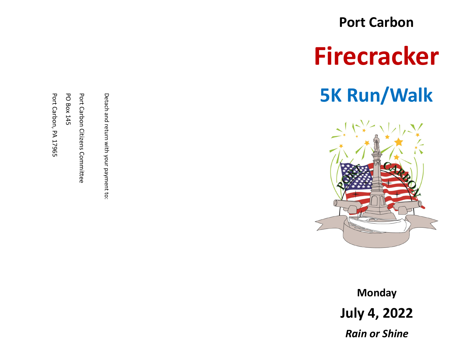**Port Carbon Firecracker 5K Run/Walk**



**Monday July 4, 2022** *Rain or Shine*

Detach and return with your payment to:

Detach and return with your payment to:

Port Carbon Citizens Committee Port Carbon Citizens Committee

PO Box 145

Port Carbon, PA 17965

Port Carbon, PA 17965